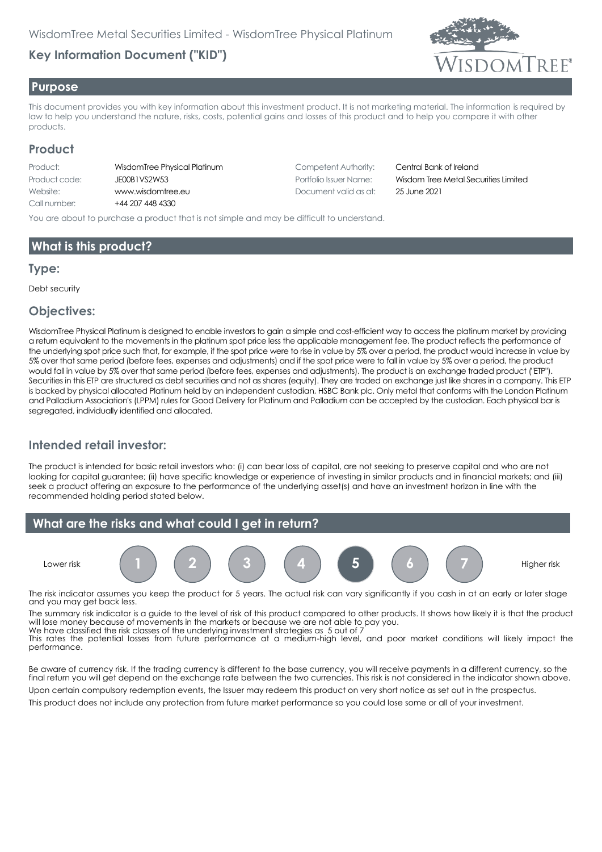# **Key Information Document ("KID")**



#### **Purpose**

This document provides you with key information about this investment product. It is not marketing material. The information is required by law to help you understand the nature, risks, costs, potential gains and losses of this product and to help you compare it with other products.

#### **Product**

| Product:      | WisdomTree Phys  |
|---------------|------------------|
| Product code: | JEOOB1VS2W53     |
| Website:      | www.wisdomtree   |
| Call number:  | +44 207 448 4330 |

hysical Platinum **Competent Authority:** Central Bank of Ireland Website: www.wisdomtree.eu Document valid as at: 25 June 2021

Portfolio Issuer Name: **Wisdom Tree Metal Securities Limited** 

You are about to purchase a product that is not simple and may be difficult to understand.

## **What is this product?**

#### **Type:**

Debt security

#### **Objectives:**

WisdomTree Physical Platinum is designed to enable investors to gain a simple and cost-efficient way to access the platinum market by providing a return equivalent to the movements in the platinum spot price less the applicable management fee. The product reflects the performance of the underlying spot price such that, for example, if the spot price were to rise in value by 5% over a period, the product would increase in value by 5% over that same period (before fees, expenses and adjustments) and if the spot price were to fall in value by 5% over a period, the product would fall in value by 5% over that same period (before fees, expenses and adjustments). The product is an exchange traded product ("ETP"). Securities in this ETP are structured as debt securities and not as shares (equity). They are traded on exchange just like shares in a company. This ETP is backed by physical allocated Platinum held by an independent custodian, HSBC Bank plc. Only metal that conforms with the London Platinum and Palladium Association's (LPPM) rules for Good Delivery for Platinum and Palladium can be accepted by the custodian. Each physical bar is segregated, individually identified and allocated.

## **Intended retail investor:**

The product is intended for basic retail investors who: (i) can bear loss of capital, are not seeking to preserve capital and who are not looking for capital guarantee; (ii) have specific knowledge or experience of investing in similar products and in financial markets; and (iii) seek a product offering an exposure to the performance of the underlying asset(s) and have an investment horizon in line with the recommended holding period stated below.



The risk indicator assumes you keep the product for 5 years. The actual risk can vary significantly if you cash in at an early or later stage and you may get back less.

The summary risk indicator is a guide to the level of risk of this product compared to other products. It shows how likely it is that the product will lose money because of movements in the markets or because we are not able to pay you. We have classified the risk classes of the underlying investment strategies as 5 out of 7

This rates the potential losses from future performance at a medium-high level, and poor market conditions will likely impact the performance.

Be aware of currency risk. If the trading currency is different to the base currency, you will receive payments in a different currency, so the final return you will get depend on the exchange rate between the two currencies. This risk is not considered in the indicator shown above. Upon certain compulsory redemption events, the Issuer may redeem this product on very short notice as set out in the prospectus.

This product does not include any protection from future market performance so you could lose some or all of your investment.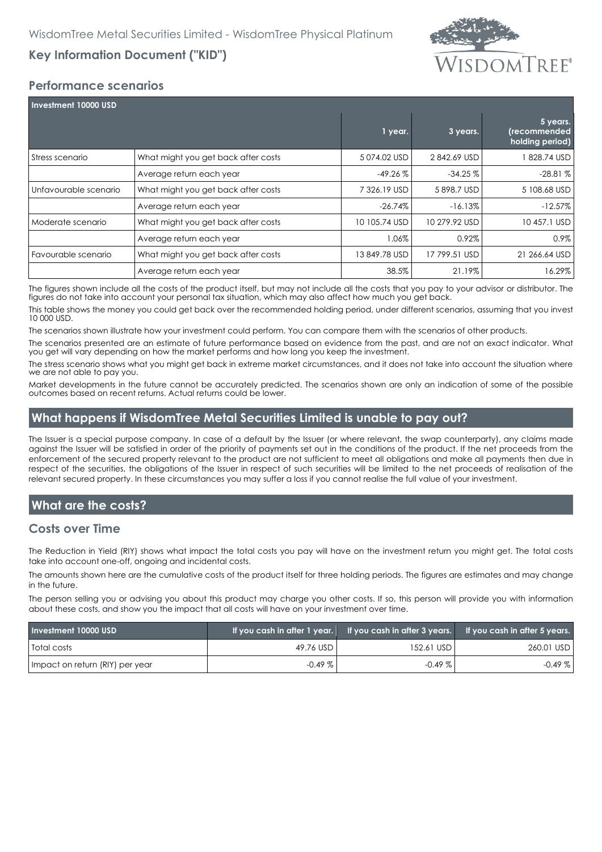# **Key Information Document ("KID")**



## **Performance scenarios**

| <b>Investment 10000 USD</b> |                                     |               |               |                                             |  |
|-----------------------------|-------------------------------------|---------------|---------------|---------------------------------------------|--|
|                             |                                     | 1 year.       | 3 years.      | 5 years.<br>(recommended<br>holding period) |  |
| Stress scenario             | What might you get back after costs | 5074.02 USD   | 2842.69 USD   | 828.74 USD                                  |  |
|                             | Average return each year            | $-49.26%$     | $-34.25%$     | $-28.81%$                                   |  |
| Unfavourable scenario       | What might you get back after costs | 7 326.19 USD  | 5898.7 USD    | 5 108,68 USD                                |  |
|                             | Average return each year            | $-26.74\%$    | $-16.13%$     | $-12.57\%$                                  |  |
| Moderate scenario           | What might you get back after costs | 10 105.74 USD | 10 279.92 USD | 10 457.1 USD                                |  |
|                             | Average return each year            | 1.06%         | 0.92%         | $0.9\%$                                     |  |
| Favourable scenario         | What might you get back after costs | 13 849.78 USD | 17 799.51 USD | 21 266.64 USD                               |  |
|                             | Average return each year            | 38.5%         | 21.19%        | 16.29%                                      |  |

The figures shown include all the costs of the product itself, but may not include all the costs that you pay to your advisor or distributor. The figures do not take into account your personal tax situation, which may also affect how much you get back.

This table shows the money you could get back over the recommended holding period, under different scenarios, assuming that you invest 10 000 USD.

The scenarios shown illustrate how your investment could perform. You can compare them with the scenarios of other products.

The scenarios presented are an estimate of future performance based on evidence from the past, and are not an exact indicator. What you get will vary depending on how the market performs and how long you keep the investment.

The stress scenario shows what you might get back in extreme market circumstances, and it does not take into account the situation where we are not able to pay you.

Market developments in the future cannot be accurately predicted. The scenarios shown are only an indication of some of the possible outcomes based on recent returns. Actual returns could be lower.

#### **What happens if WisdomTree Metal Securities Limited is unable to pay out?**

The Issuer is a special purpose company. In case of a default by the Issuer (or where relevant, the swap counterparty), any claims made against the Issuer will be satisfied in order of the priority of payments set out in the conditions of the product. If the net proceeds from the enforcement of the secured property relevant to the product are not sufficient to meet all obligations and make all payments then due in respect of the securities, the obligations of the Issuer in respect of such securities will be limited to the net proceeds of realisation of the relevant secured property. In these circumstances you may suffer a loss if you cannot realise the full value of your investment.

## **What are the costs?**

#### **Costs over Time**

The Reduction in Yield (RIY) shows what impact the total costs you pay will have on the investment return you might get. The total costs take into account one-off, ongoing and incidental costs.

The amounts shown here are the cumulative costs of the product itself for three holding periods. The figures are estimates and may change in the future.

The person selling you or advising you about this product may charge you other costs. If so, this person will provide you with information about these costs, and show you the impact that all costs will have on your investment over time.

| Investment 10000 USD            | If you cash in after 1 year. | If you cash in after $3$ years. | If you cash in after 5 years. |
|---------------------------------|------------------------------|---------------------------------|-------------------------------|
| Total costs                     | 49.76 USD                    | 152.61 USD                      | 260.01 USD                    |
| Impact on return (RIY) per year | $-0.49\%$                    | $-0.49\%$                       | $-0.49\%$                     |